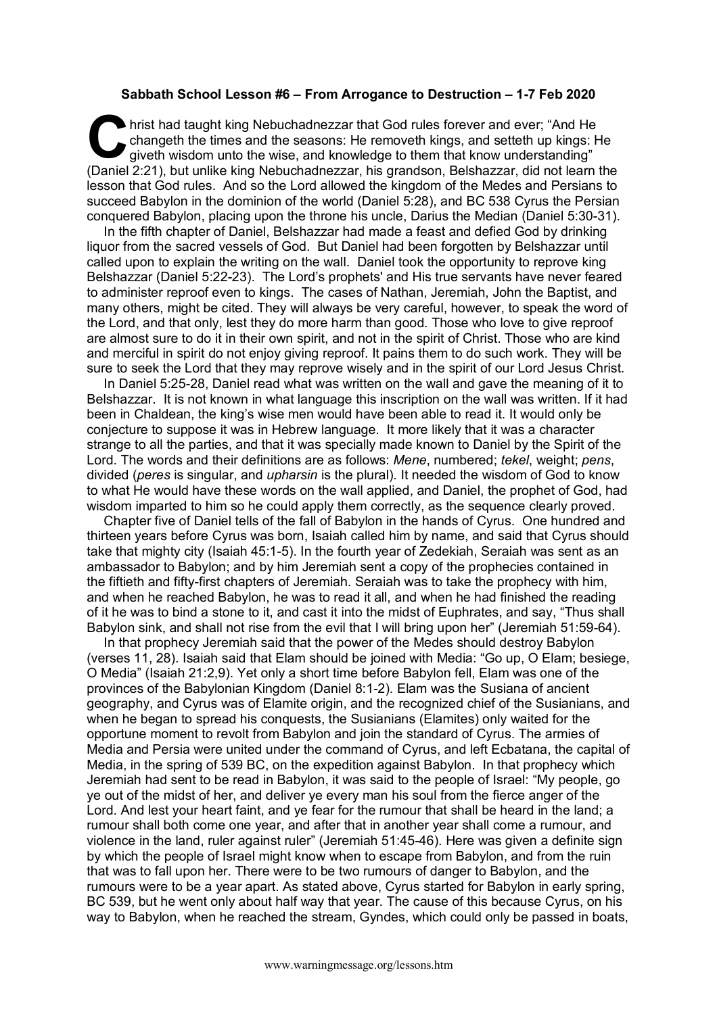## **Sabbath School Lesson #6 – From Arrogance to Destruction – 1-7 Feb 2020**

hrist had taught king Nebuchadnezzar that God rules forever and ever; "And He changeth the times and the seasons: He removeth kings, and setteth up kings: He giveth wisdom unto the wise, and knowledge to them that know und changeth the times and the seasons: He removeth kings, and setteth up kings: He giveth wisdom unto the wise, and knowledge to them that know understanding" (Daniel 2:21), but unlike king Nebuchadnezzar, his grandson, Belshazzar, did not learn the lesson that God rules. And so the Lord allowed the kingdom of the Medes and Persians to succeed Babylon in the dominion of the world (Daniel 5:28), and BC 538 Cyrus the Persian conquered Babylon, placing upon the throne his uncle, Darius the Median (Daniel 5:30-31).

In the fifth chapter of Daniel, Belshazzar had made a feast and defied God by drinking liquor from the sacred vessels of God. But Daniel had been forgotten by Belshazzar until called upon to explain the writing on the wall. Daniel took the opportunity to reprove king Belshazzar (Daniel 5:22-23). The Lord's prophets' and His true servants have never feared to administer reproof even to kings. The cases of Nathan, Jeremiah, John the Baptist, and many others, might be cited. They will always be very careful, however, to speak the word of the Lord, and that only, lest they do more harm than good. Those who love to give reproof are almost sure to do it in their own spirit, and not in the spirit of Christ. Those who are kind and merciful in spirit do not enjoy giving reproof. It pains them to do such work. They will be sure to seek the Lord that they may reprove wisely and in the spirit of our Lord Jesus Christ.

In Daniel 5:25-28, Daniel read what was written on the wall and gave the meaning of it to Belshazzar. It is not known in what language this inscription on the wall was written. If it had been in Chaldean, the king's wise men would have been able to read it. It would only be conjecture to suppose it was in Hebrew language. It more likely that it was a character strange to all the parties, and that it was specially made known to Daniel by the Spirit of the Lord. The words and their definitions are as follows: *Mene*, numbered; *tekel*, weight; *pens*, divided (*peres* is singular, and *upharsin* is the plural). It needed the wisdom of God to know to what He would have these words on the wall applied, and Daniel, the prophet of God, had wisdom imparted to him so he could apply them correctly, as the sequence clearly proved.

Chapter five of Daniel tells of the fall of Babylon in the hands of Cyrus. One hundred and thirteen years before Cyrus was born, Isaiah called him by name, and said that Cyrus should take that mighty city (Isaiah 45:1-5). In the fourth year of Zedekiah, Seraiah was sent as an ambassador to Babylon; and by him Jeremiah sent a copy of the prophecies contained in the fiftieth and fifty-first chapters of Jeremiah. Seraiah was to take the prophecy with him, and when he reached Babylon, he was to read it all, and when he had finished the reading of it he was to bind a stone to it, and cast it into the midst of Euphrates, and say, "Thus shall Babylon sink, and shall not rise from the evil that I will bring upon her" (Jeremiah 51:59-64).

In that prophecy Jeremiah said that the power of the Medes should destroy Babylon (verses 11, 28). Isaiah said that Elam should be joined with Media: "Go up, O Elam; besiege, O Media" (Isaiah 21:2,9). Yet only a short time before Babylon fell, Elam was one of the provinces of the Babylonian Kingdom (Daniel 8:1-2). Elam was the Susiana of ancient geography, and Cyrus was of Elamite origin, and the recognized chief of the Susianians, and when he began to spread his conquests, the Susianians (Elamites) only waited for the opportune moment to revolt from Babylon and join the standard of Cyrus. The armies of Media and Persia were united under the command of Cyrus, and left Ecbatana, the capital of Media, in the spring of 539 BC, on the expedition against Babylon. In that prophecy which Jeremiah had sent to be read in Babylon, it was said to the people of Israel: "My people, go ye out of the midst of her, and deliver ye every man his soul from the fierce anger of the Lord. And lest your heart faint, and ye fear for the rumour that shall be heard in the land; a rumour shall both come one year, and after that in another year shall come a rumour, and violence in the land, ruler against ruler" (Jeremiah 51:45-46). Here was given a definite sign by which the people of Israel might know when to escape from Babylon, and from the ruin that was to fall upon her. There were to be two rumours of danger to Babylon, and the rumours were to be a year apart. As stated above, Cyrus started for Babylon in early spring, BC 539, but he went only about half way that year. The cause of this because Cyrus, on his way to Babylon, when he reached the stream, Gyndes, which could only be passed in boats,